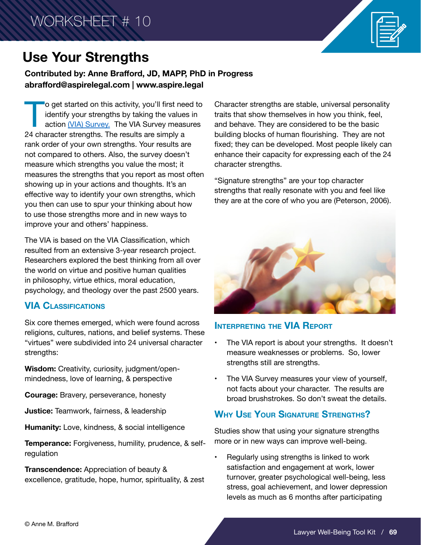

#### **Contributed by: Anne Brafford, JD, MAPP, PhD in Progress abrafford@aspirelegal.com | www.aspire.legal**

To get started on this activity, you'll first need to<br>identify your strengths by taking the values in<br>action (VIA) Survey. The VIA Survey measures<br>24 character strengths. The results are simply a identify your strengths by taking the values in action <u>(VIA) Survey.</u> The VIA Survey measures 24 character strengths. The results are simply a rank order of your own strengths. Your results are not compared to others. Also, the survey doesn't measure which strengths you value the most; it measures the strengths that you report as most often showing up in your actions and thoughts. It's an effective way to identify your own strengths, which you then can use to spur your thinking about how to use those strengths more and in new ways to improve your and others' happiness.

The VIA is based on the VIA Classification, which resulted from an extensive 3-year research project. Researchers explored the best thinking from all over the world on virtue and positive human qualities in philosophy, virtue ethics, moral education, psychology, and theology over the past 2500 years.

#### **VIA Classifications**

Six core themes emerged, which were found across religions, cultures, nations, and belief systems. These "virtues" were subdivided into 24 universal character strengths:

**Wisdom:** Creativity, curiosity, judgment/openmindedness, love of learning, & perspective

**Courage:** Bravery, perseverance, honesty

**Justice:** Teamwork, fairness, & leadership

**Humanity:** Love, kindness, & social intelligence

**Temperance:** Forgiveness, humility, prudence, & selfregulation

**Transcendence:** Appreciation of beauty & excellence, gratitude, hope, humor, spirituality, & zest Character strengths are stable, universal personality traits that show themselves in how you think, feel, and behave. They are considered to be the basic building blocks of human flourishing. They are not fixed; they can be developed. Most people likely can enhance their capacity for expressing each of the 24 character strengths.

"Signature strengths" are your top character strengths that really resonate with you and feel like they are at the core of who you are (Peterson, 2006).



#### **Interpreting the VIA Report**

- The VIA report is about your strengths. It doesn't measure weaknesses or problems. So, lower strengths still are strengths.
- The VIA Survey measures your view of yourself, not facts about your character. The results are broad brushstrokes. So don't sweat the details.

## **Why Use Your Signature Strengths?**

Studies show that using your signature strengths more or in new ways can improve well-being.

• Regularly using strengths is linked to work satisfaction and engagement at work, lower turnover, greater psychological well-being, less stress, goal achievement, and lower depression levels as much as 6 months after participating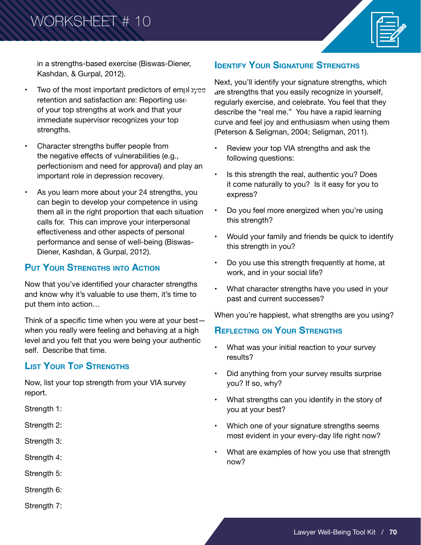# WORKSHEET # 10



in a strengths-based exercise (Biswas-Diener, Kashdan, & Gurpal, 2012).

- Two of the most important predictors of employee retention and satisfaction are: Reporting use of your top strengths at work and that your immediate supervisor recognizes your top strengths.
- Character strengths buffer people from the negative effects of vulnerabilities (e.g., perfectionism and need for approval) and play an important role in depression recovery.
- As you learn more about your 24 strengths, you can begin to develop your competence in using them all in the right proportion that each situation calls for. This can improve your interpersonal effectiveness and other aspects of personal performance and sense of well-being (Biswas-Diener, Kashdan, & Gurpal, 2012).

## **Put Your Strengths into Action**

Now that you've identified your character strengths and know why it's valuable to use them, it's time to put them into action…

Think of a specific time when you were at your best when you really were feeling and behaving at a high level and you felt that you were being your authentic self. Describe that time.

## **List Your Top Strengths**

Now, list your top strength from your VIA survey report.

Strength 1:

- Strength 2:
- Strength 3:
- Strength 4:
- Strength 5:
- Strength 6:
- Strength 7:

## **IDENTIFY YOUR SIGNATURE STRENGTHS**

Next, you'll identify your signature strengths, which are strengths that you easily recognize in yourself, regularly exercise, and celebrate. You feel that they describe the "real me." You have a rapid learning curve and feel joy and enthusiasm when using them (Peterson & Seligman, 2004; Seligman, 2011).

- Review your top VIA strengths and ask the following questions:
- Is this strength the real, authentic you? Does it come naturally to you? Is it easy for you to express?
- Do you feel more energized when you're using this strength?
- Would your family and friends be quick to identify this strength in you?
- Do you use this strength frequently at home, at work, and in your social life?
- What character strengths have you used in your past and current successes?

When you're happiest, what strengths are you using?

## **Reflecting on Your Strengths**

- What was your initial reaction to your survey results?
- Did anything from your survey results surprise you? If so, why?
- What strengths can you identify in the story of you at your best?
- Which one of your signature strengths seems most evident in your every-day life right now?
- What are examples of how you use that strength now?